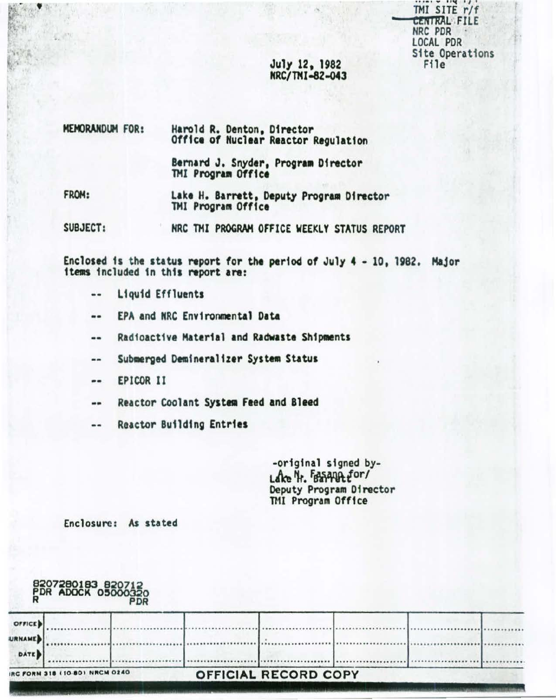TMI SITE r/f CENTRAL FILE NRC PDR LOCAL PDR **Site Operations** File

## July 12, 1982 NRC/TMI-82-043

| MEMORANDUM FOR: | Harold R. Denton, Director<br>Office of Nuclear Reactor Regulation |
|-----------------|--------------------------------------------------------------------|
|                 | Bernard J. Snyder, Program Director<br>TMI Program Office          |
| FROM:           | Lake H. Barrett, Deputy Program Director<br>TMI Program Office     |
| SUBJECT:        | NRC TMI PROGRAM OFFICE WEEKLY STATUS REPORT                        |

Enclosed is the status report for the period of July 4 - 10, 1982. Major items included in this report are:

- Liquid Effluents --
- EPA and NRC Environmental Data ..
- Radioactive Material and Radwaste Shipments --
- Submerged Demineralizer System Status  $\qquad \qquad \blacksquare$
- EPICOR II --
- Reactor Coolant System Feed and Bleed --
- **Reactor Building Entries**  $\blacksquare$

-original signed by-Lake H. FASAMA for/ Deputy Program Director<br>TMI Program Office

Enclosure: As stated

| 8207280183 820712<br>PDR ADOCK 05000320 |  |  |  |  |
|-----------------------------------------|--|--|--|--|
| OFFICE !!                               |  |  |  |  |

# **DATE** IRC FORM 318 (10-80) NRCM 0240 OFFICIAL RECORD COPY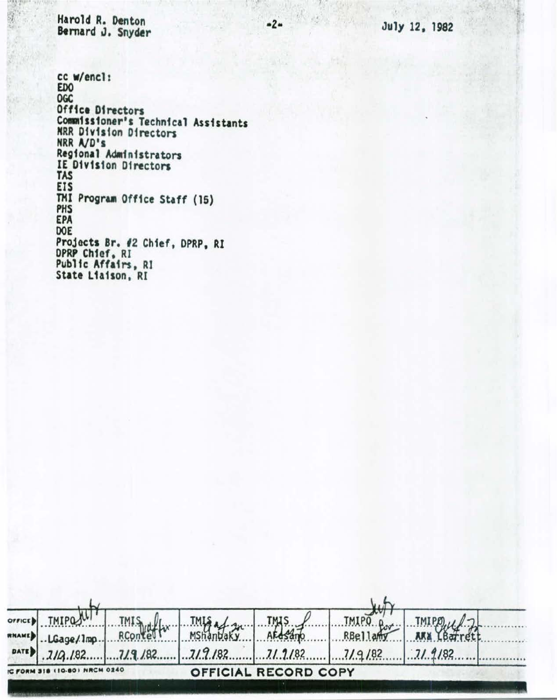Harold R. Denton Bernard J. Snyder

July 12, 1ga2

cc w/enel: EDO OGC Office Directors Commissioner's Technical Assistants NRR Dfv1s1on Directors NRR A/D's Regional Administrators IE D1v1s1on Directors TAS EJS TMI Program Office Staff (15) PHS EPA DOE Projects Br, 12 Chtef, DPRP, RI DPRP Chfaf, RI Public Affairs, RI State L1a1son, RI

| <b>TMIPOS!</b><br>LGage/1mp. | <b>TMIS</b><br>RContel |  | RBellam          | 71.9182                                      |  |
|------------------------------|------------------------|--|------------------|----------------------------------------------|--|
|                              | DATE 3/19.182.         |  | $TMIS. /$ $TMIS$ | $7/9/82$ $7/9/82$ $7/9/82$ $7/9/82$ $7/9/82$ |  |

*·2·*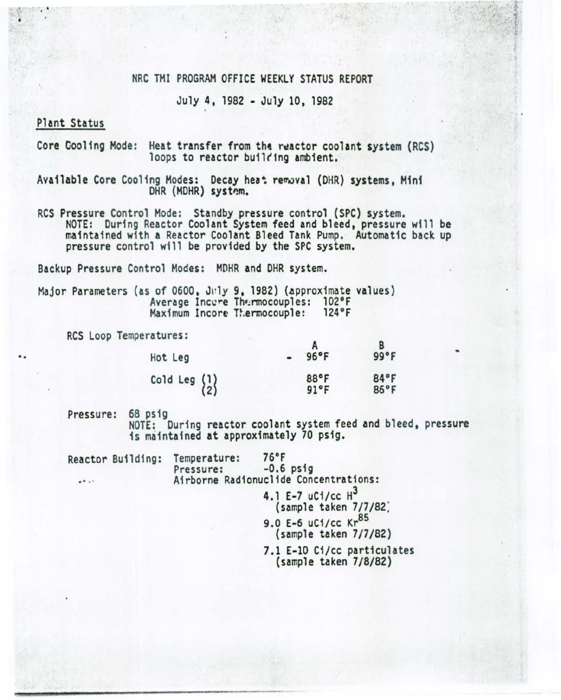## NRC THI PROGRAM OFFICE WEEKLY STATUS REPORT

July 4, 1982 -July 10, 1982

## Plant Status

•

..

Core Cooling Mode: Heat transfer from the reactor coolant system (RCS)<br>loops to reactor building ambient.

Available Core Cooling Modes: Decay heat removal (DHR) systems, Mini DHR (MDHR) system.

RCS Pressure Control Mode: Standby pressure control (SPC) system. NOTE: During Reactor Coolant System feed and bleed, pressure will be maintained with a Reactor Coolant Bleed Tank Pump. Automatic back up pressure control will be provided by the SPC system.

Backup Pressure Control Modes: MOHR and OHR system.

Major Parameters (as of 0600, July 9, 1982) (approximate values)<br>Average Inccre Thermocouples: 102°F<br>Maximum Incore Thermocouple: 124°F Maximum Incore Thermocouple:

RCS Loop Temperatures:

| Hot Leg                                         | $96^{\circ}F$          | 99°F         |
|-------------------------------------------------|------------------------|--------------|
| Cold Leg $\begin{Bmatrix} 1 \\ 2 \end{Bmatrix}$ | 88°F<br>$91^{\circ}$ F | 84°F<br>86°F |

Pressure: 68 psig<br>NOTE: During reactor coolant system feed and bleed, pressure is maintained at approximately 70 psig.

| Reactor Building: | Temperature:<br>Pressure:             | 76°F<br>$-0.6$ psig                                                       |  |
|-------------------|---------------------------------------|---------------------------------------------------------------------------|--|
| $\cdots$          | Airborne Radionuclide Concentrations: |                                                                           |  |
|                   |                                       | 4.1 E-7 uCi/cc $H^3$<br>(sample taken 7/7/82)<br>9.0 E-6 uCi/cc $Kr^{85}$ |  |
|                   |                                       | (sample taken 7/7/82)                                                     |  |
|                   |                                       | 7.1 E-10 Ci/cc particulates<br>(sample taken 7/8/82)                      |  |
|                   |                                       |                                                                           |  |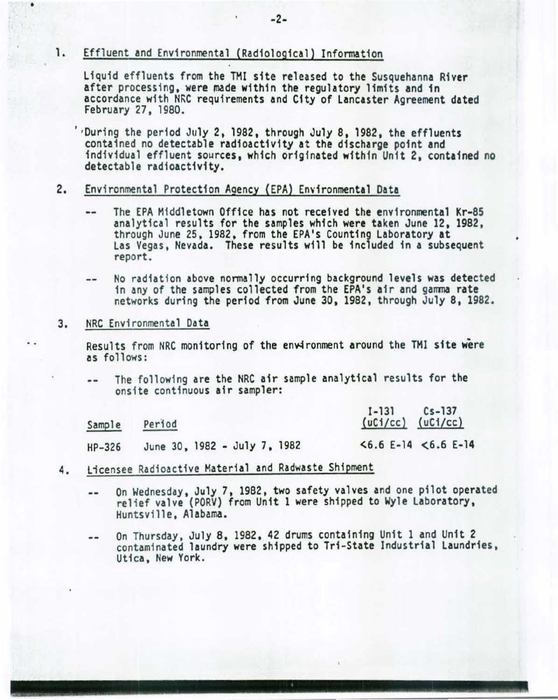## 1. Effluent and Environmental (Radiological) Information

Liquid effluents from the THI site released to the Susquehanna River after processing, were made within the regulatory limits and in accordance with NRC requirements and City of Lancaster Agreement dated February 27, 1980.

' •During the period July 2. 1982, through July 8, 1982, the effluents contained no detectable radioactivity at the discharge point and individual effluent sources, which originated within Unit 2. contained no detectable radioactivity.

## 2. Environmental Protection Agency (EPA) Environmental Data

- The EPA Middletown Office has not received the environmental Kr-85 analytical results for the samples which were taken June 12, 1982,  $$ through June 25, 1982, from the EPA's Counting Laboratory at Las Vegas, Nevada. These results will be included in a subsequent report.
- No radiation above normally occurring background levels was detected  $\frac{1}{2}$ 1n any of the samples collected from the EPA's air and gamma rate networks during the period from June 30, 1982, through July 8, 1982.

#### 3. NRC Envi ronmental Data

•

. .

Results from NRC monitoring of the environment around the TMI site were as follows:

The following are the NRC air sample analytical results for the  $-1$ ons1te continuous air sampler:

| Sample | Period                       | $Cs - 137$<br>$I-131$<br>$(uC1/cc)$ $(uC1/cc)$ |
|--------|------------------------------|------------------------------------------------|
| HP-326 | June 30, 1982 - July 7, 1982 | $56.6$ E-14 $56.6$ E-14                        |

- 4. Licensee Radioactive Material and Radwaste Shipment
	- On Wednesday, July 7, 1982, two safety valves and one pilot operated  $\frac{1}{2}$ rel ief valve (PORV) from Unit 1 were shipped to Wyle Laboratory, Huntsville , Alabama.
	- On Thursday, July 8, 1982, 42 drums containing Unit 1 and Unit 2  $-1$ contaminated laundry were shipped to Tri-State Industrial Laundries, Utica, New York.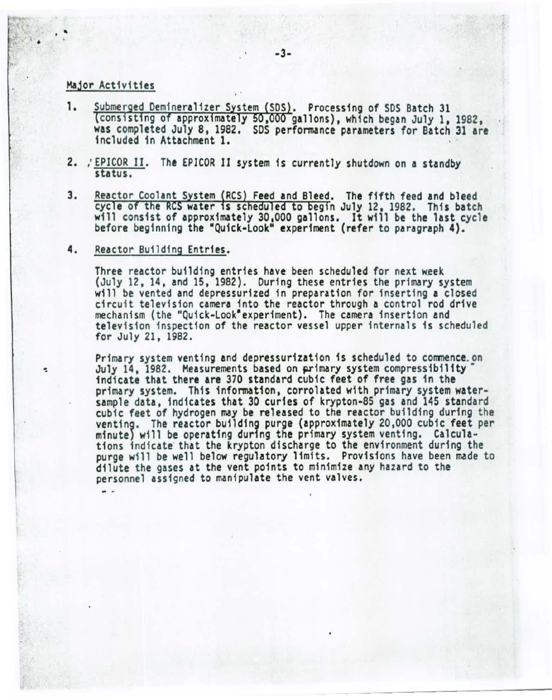## Major Activities

'

- 1. Submerged Demineralizer System (SDS). Processing of SDS Batch 31 (consisting of approximately 50,000 gallons), which began July 1, 1982. was completed July 8, 1982. SDS performance parameters for Batch 31 are included in Attachment 1.
- 2. ,' EPICOR II. The EPICOR II system fs currently shutdown on a standby status.
- Reactor Coolant System (RCS) Feed and Bleed. The fifth feed and bleed 3. cycle of the RCS water is scheduled to begin July 12, 1982. This batch will consist of approximately 30,000 gallons. It will be the last cycle before beginning the "Quick-Look" experiment (refer to paragraph 4).

### 4. Reactor Building Entries.

Three reactor building entries have been scheduled for next week<br>(July 12, 14, and 15, 1982). During these entries the primary system will be vented and depressurized in preparation for inserting a closed circuit television camera into the reactor through a control rod drive mechanism (the "Quick-Look" experiment). The camera insertion and television inspection of the reactor vessel upper internals is scheduled for July 21, 1982.

Primary system venting and depressurization is scheduled to commence. on July 14, 1982. Measurements based on primary system compressibility· indicate that there are 370 standard cubic feet of free gas in the primary system. This information, correlated with primary system watersample data, indicates that 30 curies of krypton-85 gas and 145 standard cubic feet of hydrogen may be released to the reactor building during the ventin9. The reactor building purge (approximately 20,000 cubic feet per minute) will be operating during the primary system venting. Calculations indicate that the krypton discharge to the environment during the purge will be well below regulatory limits. Provisions have been made to dilute the gases at the vent points to minimize any hazard to the personnel assigned to manipulate the vent valves.

- -- ------------